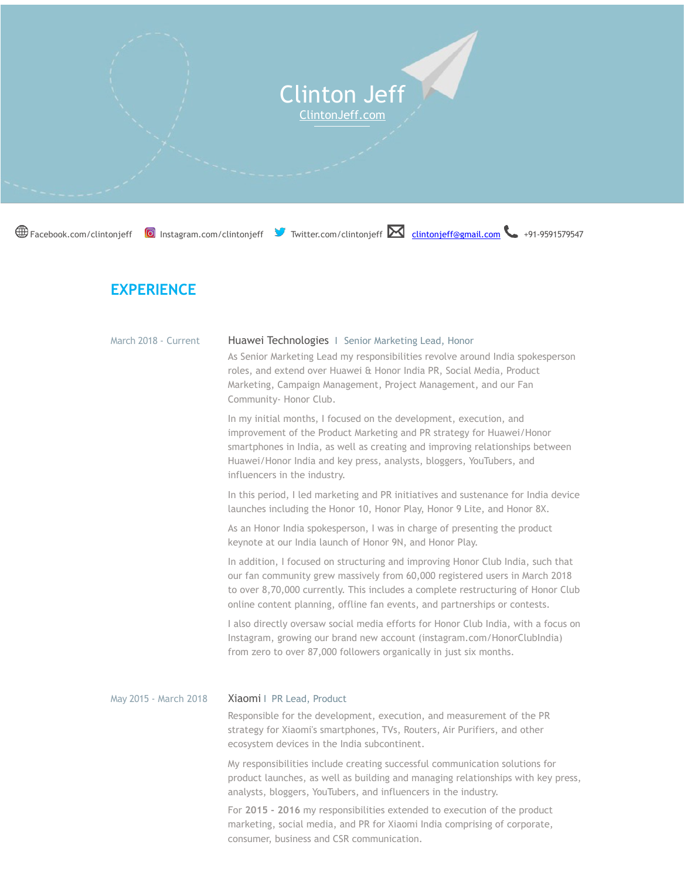

## **EXPERIENCE**

| March 2018 - Current  | Huawei Technologies   Senior Marketing Lead, Honor                                                                                                                                                                                                                                                                                   |
|-----------------------|--------------------------------------------------------------------------------------------------------------------------------------------------------------------------------------------------------------------------------------------------------------------------------------------------------------------------------------|
|                       | As Senior Marketing Lead my responsibilities revolve around India spokesperson<br>roles, and extend over Huawei & Honor India PR, Social Media, Product<br>Marketing, Campaign Management, Project Management, and our Fan<br>Community- Honor Club.                                                                                 |
|                       | In my initial months, I focused on the development, execution, and<br>improvement of the Product Marketing and PR strategy for Huawei/Honor<br>smartphones in India, as well as creating and improving relationships between<br>Huawei/Honor India and key press, analysts, bloggers, YouTubers, and<br>influencers in the industry. |
|                       | In this period, I led marketing and PR initiatives and sustenance for India device<br>launches including the Honor 10, Honor Play, Honor 9 Lite, and Honor 8X.                                                                                                                                                                       |
|                       | As an Honor India spokesperson, I was in charge of presenting the product<br>keynote at our India launch of Honor 9N, and Honor Play.                                                                                                                                                                                                |
|                       | In addition, I focused on structuring and improving Honor Club India, such that<br>our fan community grew massively from 60,000 registered users in March 2018<br>to over 8,70,000 currently. This includes a complete restructuring of Honor Club<br>online content planning, offline fan events, and partnerships or contests.     |
|                       | I also directly oversaw social media efforts for Honor Club India, with a focus on<br>Instagram, growing our brand new account (instagram.com/HonorClubIndia)<br>from zero to over 87,000 followers organically in just six months.                                                                                                  |
| May 2015 - March 2018 | Xiaomi   PR Lead, Product                                                                                                                                                                                                                                                                                                            |
|                       | Responsible for the development, execution, and measurement of the PR<br>strategy for Xiaomi's smartphones, TVs, Routers, Air Purifiers, and other<br>ecosystem devices in the India subcontinent.                                                                                                                                   |
|                       | My responsibilities include creating successful communication solutions for<br>product launches, as well as building and managing relationships with key press,<br>analysts, bloggers, YouTubers, and influencers in the industry.                                                                                                   |
|                       | For 2015 - 2016 my responsibilities extended to execution of the product<br>marketing, social media, and PR for Xiaomi India comprising of corporate,                                                                                                                                                                                |

consumer, business and CSR communication.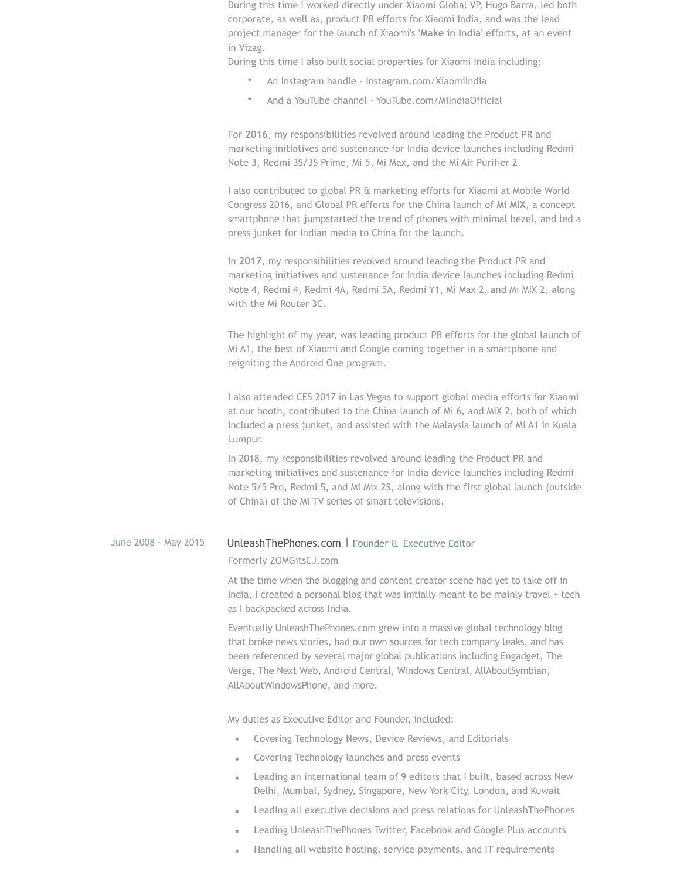During this time I worked directly under Xiaomi Global VP, Hugo Barra, led both corporate, as well as, product PR efforts for Xiaomi India, and was the lead project manager for the launch of Xiaomi's **'Make in India'** efforts, at an event in Vizag.

During this time I also built social properties for Xiaomi India including:

- An Instagram handle Instagram.com/XiaomiIndia
- And a YouTube channel YouTube.com/MiIndiaOfficial

For **2016**, my responsibilities revolved around leading the Product PR and marketing initiatives and sustenance for India device launches including Redmi Note 3, Redmi 3S/3S Prime, Mi 5, Mi Max, and the Mi Air Purifier 2.

I also contributed to global PR & marketing efforts for Xiaomi at Mobile World Congress 2016, and Global PR efforts for the China launch of **Mi MIX**, a concept smartphone that jumpstarted the trend of phones with minimal bezel, and led a press junket for Indian media to China for the launch.

In **2017**, my responsibilities revolved around leading the Product PR and marketing initiatives and sustenance for India device launches including Redmi Note 4, Redmi 4, Redmi 4A, Redmi 5A, Redmi Y1, Mi Max 2, and Mi MIX 2, along with the Mi Router 3C.

The highlight of my year, was leading product PR efforts for the global launch of Mi A1, the best of Xiaomi and Google coming together in a smartphone and reigniting the Android One program.

I also attended CES 2017 in Las Vegas to support global media efforts for Xiaomi at our booth, contributed to the China launch of Mi 6, and MIX 2, both of which included a press junket, and assisted with the Malaysia launch of Mi A1 in Kuala Lumpur.

In 2018, my responsibilities revolved around leading the Product PR and marketing initiatives and sustenance for India device launches including Redmi Note 5/5 Pro, Redmi 5, and Mi Mix 2S, along with the first global launch (outside of China) of the Mi TV series of smart televisions.

## June 2008 - May 2015 UnleashThePhones.com I Founder & Executive Editor

## Formerly ZOMGitsCJ.com

At the time when the blogging and content creator scene had yet to take off in India, I created a personal blog that was initially meant to be mainly travel + tech as I backpacked across India.

Eventually UnleashThePhones.com grew into a massive global technology blog that broke news stories, had our own sources for tech company leaks, and has been referenced by several major global publications including Engadget, The Verge, The Next Web, Android Central, Windows Central, AllAboutSymbian, AllAboutWindowsPhone, and more.

My duties as Executive Editor and Founder, included:

- Covering Technology News, Device Reviews, and Editorials
- Covering Technology launches and press events
- Leading an international team of 9 editors that I built, based across New Delhi, Mumbai, Sydney, Singapore, New York City, London, and Kuwait
- Leading all executive decisions and press relations for UnleashThePhones
- Leading UnleashThePhones Twitter, Facebook and Google Plus accounts
- Handling all website hosting, service payments, and IT requirements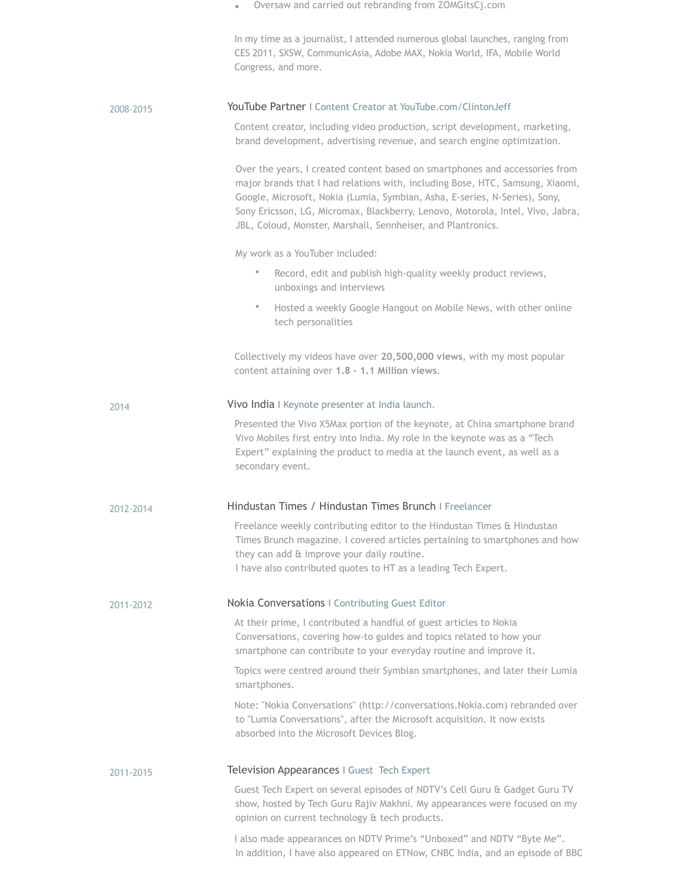|           | Oversaw and carried out rebranding from ZOMGitsCj.com                                                                                                                                                                                                                                                                                                                                        |
|-----------|----------------------------------------------------------------------------------------------------------------------------------------------------------------------------------------------------------------------------------------------------------------------------------------------------------------------------------------------------------------------------------------------|
|           | In my time as a journalist, I attended numerous global launches, ranging from<br>CES 2011, SXSW, CommunicAsia, Adobe MAX, Nokia World, IFA, Mobile World<br>Congress, and more.                                                                                                                                                                                                              |
| 2008-2015 | <b>YouTube Partner   Content Creator at YouTube.com/ClintonJeff</b>                                                                                                                                                                                                                                                                                                                          |
|           | Content creator, including video production, script development, marketing,<br>brand development, advertising revenue, and search engine optimization.                                                                                                                                                                                                                                       |
|           | Over the years, I created content based on smartphones and accessories from<br>major brands that I had relations with, including Bose, HTC, Samsung, Xiaomi,<br>Google, Microsoft, Nokia (Lumia, Symbian, Asha, E-series, N-Series), Sony,<br>Sony Ericsson, LG, Micromax, Blackberry, Lenovo, Motorola, Intel, Vivo, Jabra,<br>JBL, Coloud, Monster, Marshall, Sennheiser, and Plantronics. |
|           | My work as a YouTuber included:                                                                                                                                                                                                                                                                                                                                                              |
|           | $\bullet$<br>Record, edit and publish high-quality weekly product reviews,<br>unboxings and interviews                                                                                                                                                                                                                                                                                       |
|           | Hosted a weekly Google Hangout on Mobile News, with other online<br>$\bullet$<br>tech personalities                                                                                                                                                                                                                                                                                          |
|           | Collectively my videos have over 20,500,000 views, with my most popular<br>content attaining over 1.8 - 1.1 Million views.                                                                                                                                                                                                                                                                   |
| 2014      | Vivo India I Keynote presenter at India launch.                                                                                                                                                                                                                                                                                                                                              |
|           | Presented the Vivo X5Max portion of the keynote, at China smartphone brand<br>Vivo Mobiles first entry into India. My role in the keynote was as a "Tech<br>Expert" explaining the product to media at the launch event, as well as a<br>secondary event.                                                                                                                                    |
| 2012-2014 | Hindustan Times / Hindustan Times Brunch   Freelancer                                                                                                                                                                                                                                                                                                                                        |
|           | Freelance weekly contributing editor to the Hindustan Times & Hindustan<br>Times Brunch magazine. I covered articles pertaining to smartphones and how<br>they can add & improve your daily routine.<br>I have also contributed quotes to HT as a leading Tech Expert.                                                                                                                       |
| 2011-2012 | Nokia Conversations   Contributing Guest Editor                                                                                                                                                                                                                                                                                                                                              |
|           | At their prime, I contributed a handful of guest articles to Nokia<br>Conversations, covering how-to guides and topics related to how your<br>smartphone can contribute to your everyday routine and improve it.                                                                                                                                                                             |
|           | Topics were centred around their Symbian smartphones, and later their Lumia<br>smartphones.                                                                                                                                                                                                                                                                                                  |
|           | Note: "Nokia Conversations" (http://conversations.Nokia.com) rebranded over<br>to "Lumia Conversations", after the Microsoft acquisition. It now exists<br>absorbed into the Microsoft Devices Blog.                                                                                                                                                                                         |
| 2011-2015 | Television Appearances   Guest Tech Expert                                                                                                                                                                                                                                                                                                                                                   |
|           | Guest Tech Expert on several episodes of NDTV's Cell Guru & Gadget Guru TV<br>show, hosted by Tech Guru Rajiv Makhni. My appearances were focused on my<br>opinion on current technology & tech products.                                                                                                                                                                                    |
|           | I also made appearances on NDTV Prime's "Unboxed" and NDTV "Byte Me".<br>In addition, I have also appeared on ETNow, CNBC India, and an episode of BBC                                                                                                                                                                                                                                       |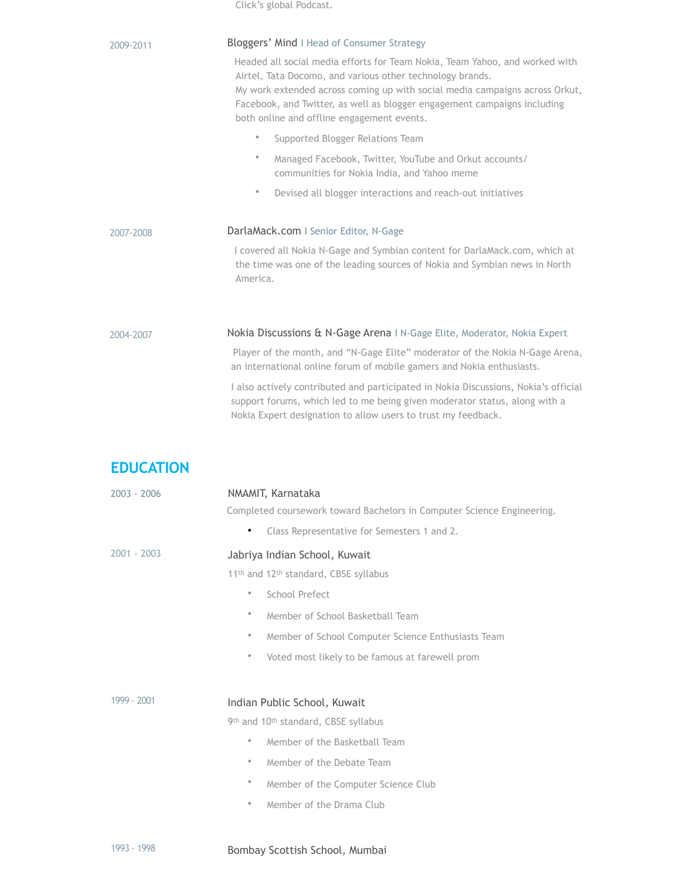|                  | Click's global Podcast.                                                                                                                                                                                                                                                                                                                                                                                                                                                                                                                                                                                                                           |
|------------------|---------------------------------------------------------------------------------------------------------------------------------------------------------------------------------------------------------------------------------------------------------------------------------------------------------------------------------------------------------------------------------------------------------------------------------------------------------------------------------------------------------------------------------------------------------------------------------------------------------------------------------------------------|
| 2009-2011        | Bloggers' Mind I Head of Consumer Strategy<br>Headed all social media efforts for Team Nokia, Team Yahoo, and worked with<br>Airtel, Tata Docomo, and various other technology brands.<br>My work extended across coming up with social media campaigns across Orkut,<br>Facebook, and Twitter, as well as blogger engagement campaigns including<br>both online and offline engagement events.<br>$\bullet$<br>Supported Blogger Relations Team<br>$\bullet$<br>Managed Facebook, Twitter, YouTube and Orkut accounts/<br>communities for Nokia India, and Yahoo meme<br>$\bullet$<br>Devised all blogger interactions and reach-out initiatives |
| 2007-2008        | DarlaMack.com   Senior Editor, N-Gage<br>I covered all Nokia N-Gage and Symbian content for DarlaMack.com, which at<br>the time was one of the leading sources of Nokia and Symbian news in North<br>America.                                                                                                                                                                                                                                                                                                                                                                                                                                     |
| 2004-2007        | Nokia Discussions & N-Gage Arena   N-Gage Elite, Moderator, Nokia Expert<br>Player of the month, and "N-Gage Elite" moderator of the Nokia N-Gage Arena,<br>an international online forum of mobile gamers and Nokia enthusiasts.<br>I also actively contributed and participated in Nokia Discussions, Nokia's official<br>support forums, which led to me being given moderator status, along with a<br>Nokia Expert designation to allow users to trust my feedback.                                                                                                                                                                           |
| <b>EDUCATION</b> |                                                                                                                                                                                                                                                                                                                                                                                                                                                                                                                                                                                                                                                   |
| $2003 - 2006$    | NMAMIT, Karnataka<br>Completed coursework toward Bachelors in Computer Science Engineering.<br>Class Representative for Semesters 1 and 2.<br>$\bullet$                                                                                                                                                                                                                                                                                                                                                                                                                                                                                           |
| 2001 - 2003      | Jabriya Indian School, Kuwait<br>11th and 12th standard, CBSE syllabus<br>School Prefect<br>$\bullet$<br>$\bullet$<br>Member of School Basketball Team<br>Member of School Computer Science Enthusiasts Team<br>$\bullet$<br>Voted most likely to be famous at farewell prom<br>$\bullet$                                                                                                                                                                                                                                                                                                                                                         |
| 1999 - 2001      | Indian Public School, Kuwait<br>9th and 10th standard, CBSE syllabus<br>Member of the Basketball Team<br>$\bullet$<br>Member of the Debate Team<br>$\bullet$<br>$\bullet$<br>Member of the Computer Science Club<br>Member of the Drama Club<br>$\bullet$                                                                                                                                                                                                                                                                                                                                                                                         |